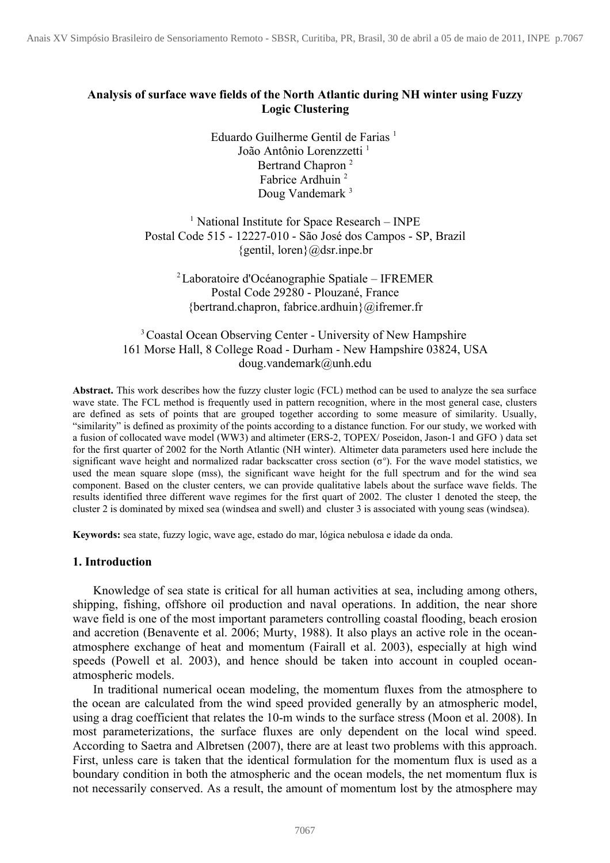# **Analysis of surface wave fields of the North Atlantic during NH winter using Fuzzy Logic Clustering**

Eduardo Guilherme Gentil de Farias<sup>1</sup> João Antônio Lorenzzetti<sup>1</sup> Bertrand Chapron<sup>2</sup> Fabrice Ardhuin<sup>2</sup> Doug Vandemark<sup>3</sup>

<sup>1</sup> National Institute for Space Research – INPE Postal Code 515 - 12227-010 - São José dos Campos - SP, Brazil  ${gentil, loren}$  $@dsr.$ inpe.br

> <sup>2</sup>Laboratoire d'Océanographie Spatiale – IFREMER Postal Code 29280 - Plouzané, France {bertrand.chapron, fabrice.ardhuin}@ifremer.fr

### <sup>3</sup> Coastal Ocean Observing Center - University of New Hampshire 161 Morse Hall, 8 College Road - Durham - New Hampshire 03824, USA doug.vandemark@unh.edu

**Abstract.** This work describes how the fuzzy cluster logic (FCL) method can be used to analyze the sea surface wave state. The FCL method is frequently used in pattern recognition, where in the most general case, clusters are defined as sets of points that are grouped together according to some measure of similarity. Usually, "similarity" is defined as proximity of the points according to a distance function. For our study, we worked with a fusion of collocated wave model (WW3) and altimeter (ERS-2, TOPEX/ Poseidon, Jason-1 and GFO ) data set for the first quarter of 2002 for the North Atlantic (NH winter). Altimeter data parameters used here include the significant wave height and normalized radar backscatter cross section  $(\sigma^{\circ})$ . For the wave model statistics, we used the mean square slope (mss), the significant wave height for the full spectrum and for the wind sea component. Based on the cluster centers, we can provide qualitative labels about the surface wave fields. The results identified three different wave regimes for the first quart of 2002. The cluster 1 denoted the steep, the cluster 2 is dominated by mixed sea (windsea and swell) and cluster 3 is associated with young seas (windsea).

**Keywords:** sea state, fuzzy logic, wave age, estado do mar, lógica nebulosa e idade da onda.

### **1. Introduction**

Knowledge of sea state is critical for all human activities at sea, including among others, shipping, fishing, offshore oil production and naval operations. In addition, the near shore wave field is one of the most important parameters controlling coastal flooding, beach erosion and accretion (Benavente et al. 2006; Murty, 1988). It also plays an active role in the oceanatmosphere exchange of heat and momentum (Fairall et al. 2003), especially at high wind speeds (Powell et al. 2003), and hence should be taken into account in coupled oceanatmospheric models.

In traditional numerical ocean modeling, the momentum fluxes from the atmosphere to the ocean are calculated from the wind speed provided generally by an atmospheric model, using a drag coefficient that relates the 10-m winds to the surface stress (Moon et al. 2008). In most parameterizations, the surface fluxes are only dependent on the local wind speed. According to Saetra and Albretsen (2007), there are at least two problems with this approach. First, unless care is taken that the identical formulation for the momentum flux is used as a boundary condition in both the atmospheric and the ocean models, the net momentum flux is not necessarily conserved. As a result, the amount of momentum lost by the atmosphere may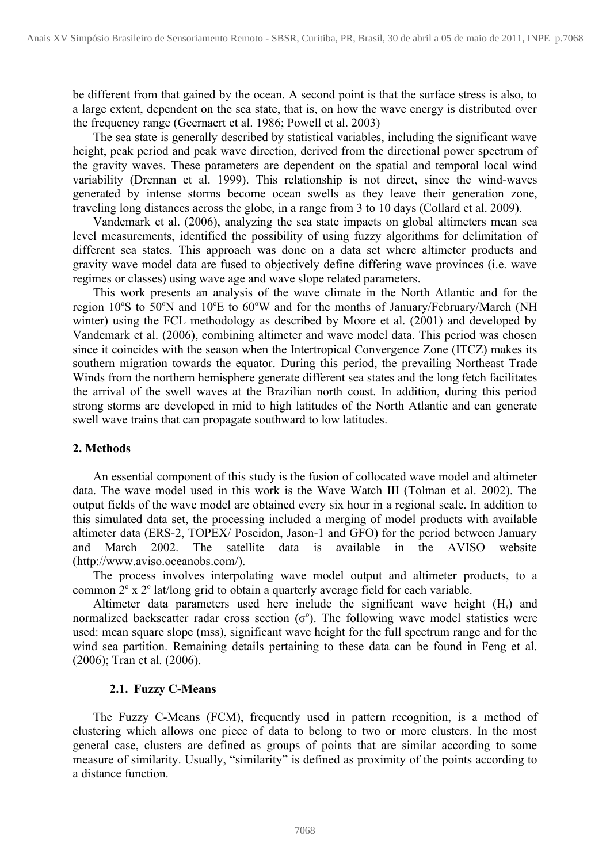be different from that gained by the ocean. A second point is that the surface stress is also, to a large extent, dependent on the sea state, that is, on how the wave energy is distributed over the frequency range (Geernaert et al. 1986; Powell et al. 2003)

The sea state is generally described by statistical variables, including the significant wave height, peak period and peak wave direction, derived from the directional power spectrum of the gravity waves. These parameters are dependent on the spatial and temporal local wind variability (Drennan et al. 1999). This relationship is not direct, since the wind-waves generated by intense storms become ocean swells as they leave their generation zone, traveling long distances across the globe, in a range from 3 to 10 days (Collard et al. 2009).

Vandemark et al. (2006), analyzing the sea state impacts on global altimeters mean sea level measurements, identified the possibility of using fuzzy algorithms for delimitation of different sea states. This approach was done on a data set where altimeter products and gravity wave model data are fused to objectively define differing wave provinces (i.e. wave regimes or classes) using wave age and wave slope related parameters.

This work presents an analysis of the wave climate in the North Atlantic and for the region 10°S to 50°N and 10°E to 60°W and for the months of January/February/March (NH winter) using the FCL methodology as described by Moore et al. (2001) and developed by Vandemark et al. (2006), combining altimeter and wave model data. This period was chosen since it coincides with the season when the Intertropical Convergence Zone (ITCZ) makes its southern migration towards the equator. During this period, the prevailing Northeast Trade Winds from the northern hemisphere generate different sea states and the long fetch facilitates the arrival of the swell waves at the Brazilian north coast. In addition, during this period strong storms are developed in mid to high latitudes of the North Atlantic and can generate swell wave trains that can propagate southward to low latitudes.

## **2. Methods**

An essential component of this study is the fusion of collocated wave model and altimeter data. The wave model used in this work is the Wave Watch III (Tolman et al. 2002). The output fields of the wave model are obtained every six hour in a regional scale. In addition to this simulated data set, the processing included a merging of model products with available altimeter data (ERS-2, TOPEX/ Poseidon, Jason-1 and GFO) for the period between January and March 2002. The satellite data is available in the AVISO website (http://www.aviso.oceanobs.com/).

The process involves interpolating wave model output and altimeter products, to a common 2° x 2° lat/long grid to obtain a quarterly average field for each variable.

Altimeter data parameters used here include the significant wave height  $(H_s)$  and normalized backscatter radar cross section  $(\sigma^{\circ})$ . The following wave model statistics were used: mean square slope (mss), significant wave height for the full spectrum range and for the wind sea partition. Remaining details pertaining to these data can be found in Feng et al. (2006); Tran et al. (2006).

## **2.1. Fuzzy C-Means**

The Fuzzy C-Means (FCM), frequently used in pattern recognition, is a method of clustering which allows one piece of data to belong to two or more clusters. In the most general case, clusters are defined as groups of points that are similar according to some measure of similarity. Usually, "similarity" is defined as proximity of the points according to a distance function.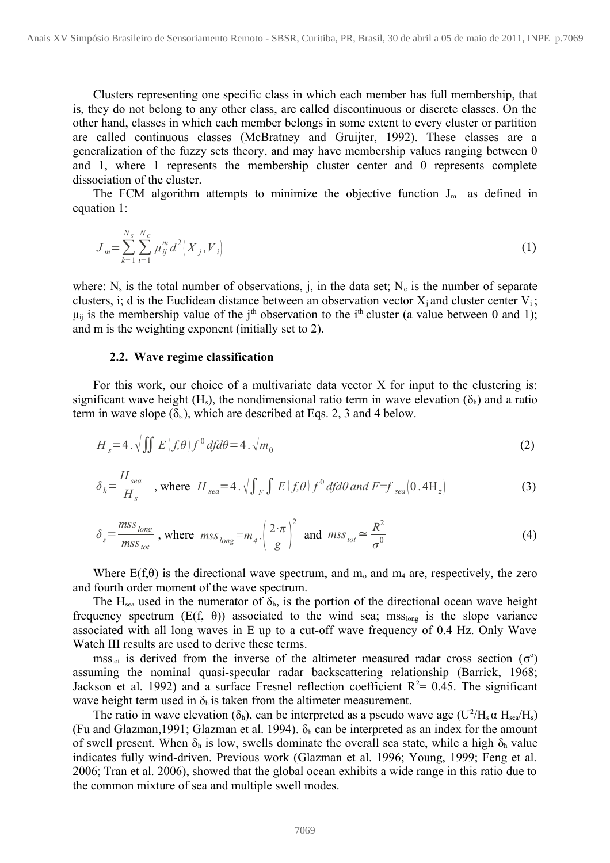Clusters representing one specific class in which each member has full membership, that is, they do not belong to any other class, are called discontinuous or discrete classes. On the other hand, classes in which each member belongs in some extent to every cluster or partition are called continuous classes (McBratney and Gruijter, 1992). These classes are a generalization of the fuzzy sets theory, and may have membership values ranging between 0 and 1, where 1 represents the membership cluster center and 0 represents complete dissociation of the cluster.

The FCM algorithm attempts to minimize the objective function  $J_m$  as defined in equation 1:

$$
J_m = \sum_{k=1}^{N_s} \sum_{i=1}^{N_c} \mu_{ij}^m d^2 \Big(X_j, V_i\Big) \tag{1}
$$

where:  $N_s$  is the total number of observations, j, in the data set;  $N_c$  is the number of separate clusters, i; d is the Euclidean distance between an observation vector  $X_i$  and cluster center  $V_i$ ;  $\mu_{ij}$  is the membership value of the j<sup>th</sup> observation to the i<sup>th</sup> cluster (a value between 0 and 1); and m is the weighting exponent (initially set to 2).

#### **2.2. Wave regime classification**

For this work, our choice of a multivariate data vector X for input to the clustering is: significant wave height (H<sub>s</sub>), the nondimensional ratio term in wave elevation ( $\delta_h$ ) and a ratio term in wave slope  $(\delta_s)$ , which are described at Eqs. 2, 3 and 4 below.

$$
H_s = 4 \cdot \sqrt{\iint E\left(f, \theta\right) f^0 d f d\theta} = 4 \cdot \sqrt{m_0}
$$
 (2)

$$
\delta_h = \frac{H_{sea}}{H_s} \quad , \text{ where } H_{sea} = 4 \cdot \sqrt{\int_F \int E(f,\theta) \, f^0 \, df d\theta} \text{ and } F = f_{sea} \left( 0.4 \, \text{H}_z \right) \tag{3}
$$

$$
\delta_s = \frac{mss_{long}}{mss_{tot}} \text{ , where } mss_{long} = m_4. \left(\frac{2 \cdot \pi}{g}\right)^2 \text{ and } mss_{tot} \simeq \frac{R^2}{\sigma^0} \tag{4}
$$

Where  $E(f, \theta)$  is the directional wave spectrum, and m<sub>0</sub> and m<sub>4</sub> are, respectively, the zero and fourth order moment of the wave spectrum.

The H<sub>sea</sub> used in the numerator of  $\delta_h$ , is the portion of the directional ocean wave height frequency spectrum  $(E(f, \theta))$  associated to the wind sea; mss<sub>long</sub> is the slope variance associated with all long waves in E up to a cut-off wave frequency of 0.4 Hz. Only Wave Watch III results are used to derive these terms.

 $\text{mss}_{\text{tot}}$  is derived from the inverse of the altimeter measured radar cross section ( $\sigma^{\circ}$ ) assuming the nominal quasi-specular radar backscattering relationship (Barrick, 1968; Jackson et al. 1992) and a surface Fresnel reflection coefficient  $R^2$ = 0.45. The significant wave height term used in  $\delta_h$  is taken from the altimeter measurement.

The ratio in wave elevation ( $\delta_h$ ), can be interpreted as a pseudo wave age (U<sup>2</sup>/H<sub>s</sub>  $\alpha$  H<sub>sea</sub>/H<sub>s</sub>) (Fu and Glazman, 1991; Glazman et al. 1994).  $\delta_h$  can be interpreted as an index for the amount of swell present. When  $\delta_h$  is low, swells dominate the overall sea state, while a high  $\delta_h$  value indicates fully wind-driven. Previous work (Glazman et al. 1996; Young, 1999; Feng et al. 2006; Tran et al. 2006), showed that the global ocean exhibits a wide range in this ratio due to the common mixture of sea and multiple swell modes.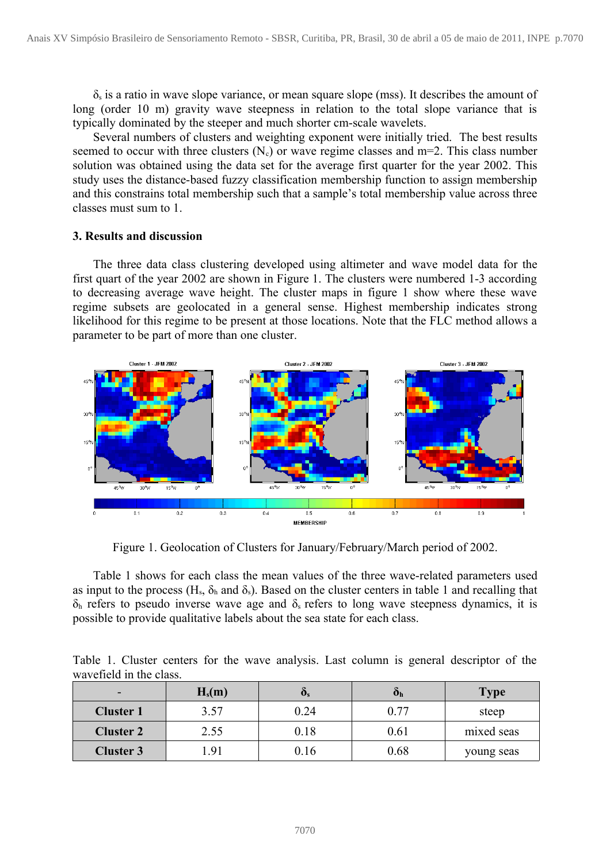$\delta_s$  is a ratio in wave slope variance, or mean square slope (mss). It describes the amount of long (order 10 m) gravity wave steepness in relation to the total slope variance that is typically dominated by the steeper and much shorter cm-scale wavelets.

Several numbers of clusters and weighting exponent were initially tried. The best results seemed to occur with three clusters  $(N_c)$  or wave regime classes and m=2. This class number solution was obtained using the data set for the average first quarter for the year 2002. This study uses the distance-based fuzzy classification membership function to assign membership and this constrains total membership such that a sample's total membership value across three classes must sum to 1.

## **3. Results and discussion**

The three data class clustering developed using altimeter and wave model data for the first quart of the year 2002 are shown in Figure 1. The clusters were numbered 1-3 according to decreasing average wave height. The cluster maps in figure 1 show where these wave regime subsets are geolocated in a general sense. Highest membership indicates strong likelihood for this regime to be present at those locations. Note that the FLC method allows a parameter to be part of more than one cluster.



Figure 1. Geolocation of Clusters for January/February/March period of 2002.

Table 1 shows for each class the mean values of the three wave-related parameters used as input to the process (H<sub>s</sub>,  $\delta_h$  and  $\delta_s$ ). Based on the cluster centers in table 1 and recalling that  $\delta_h$  refers to pseudo inverse wave age and  $\delta_s$  refers to long wave steepness dynamics, it is possible to provide qualitative labels about the sea state for each class.

Table 1. Cluster centers for the wave analysis. Last column is general descriptor of the wavefield in the class.

| $\overline{\phantom{0}}$ | $H_s(m)$ | $\mathbf{U}_\mathbf{S}$ | Oh   | <b>Type</b> |
|--------------------------|----------|-------------------------|------|-------------|
| <b>Cluster 1</b>         | 3.57     | 0.24                    | 0.77 | steep       |
| <b>Cluster 2</b>         | 2.55     | 0.18                    | 0.61 | mixed seas  |
| <b>Cluster 3</b>         | .91      | 0.16                    | 0.68 | young seas  |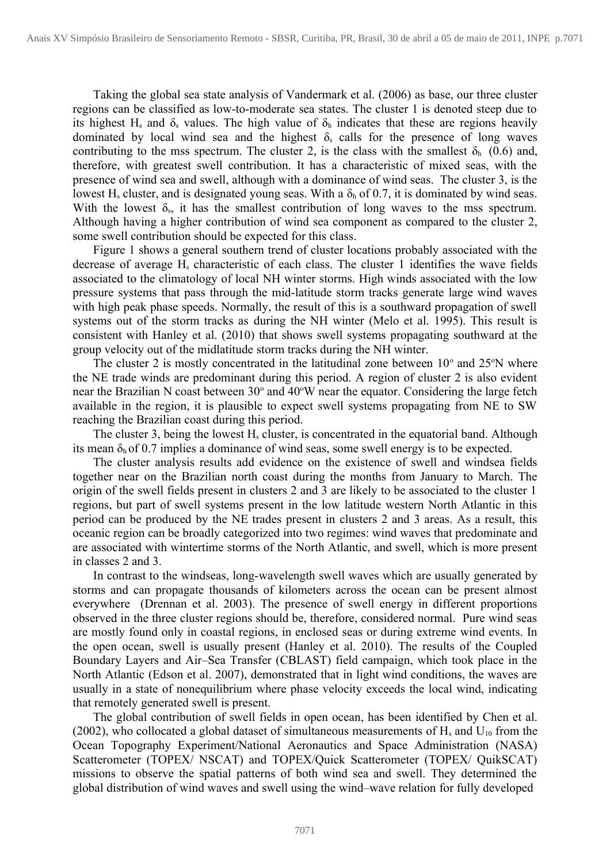Taking the global sea state analysis of Vandermark et al. (2006) as base, our three cluster regions can be classified as low-to-moderate sea states. The cluster 1 is denoted steep due to its highest H<sub>s</sub> and  $\delta_s$  values. The high value of  $\delta_h$  indicates that these are regions heavily dominated by local wind sea and the highest  $\delta_s$  calls for the presence of long waves contributing to the mss spectrum. The cluster 2, is the class with the smallest  $\delta_h$  (0.6) and, therefore, with greatest swell contribution. It has a characteristic of mixed seas, with the presence of wind sea and swell, although with a dominance of wind seas. The cluster 3, is the lowest H<sub>s</sub> cluster, and is designated young seas. With a  $\delta_h$  of 0.7, it is dominated by wind seas. With the lowest  $\delta_s$ , it has the smallest contribution of long waves to the mss spectrum. Although having a higher contribution of wind sea component as compared to the cluster 2, some swell contribution should be expected for this class.

Figure 1 shows a general southern trend of cluster locations probably associated with the decrease of average  $H_s$  characteristic of each class. The cluster 1 identifies the wave fields associated to the climatology of local NH winter storms. High winds associated with the low pressure systems that pass through the mid-latitude storm tracks generate large wind waves with high peak phase speeds. Normally, the result of this is a southward propagation of swell systems out of the storm tracks as during the NH winter (Melo et al. 1995). This result is consistent with Hanley et al. (2010) that shows swell systems propagating southward at the group velocity out of the midlatitude storm tracks during the NH winter.

The cluster 2 is mostly concentrated in the latitudinal zone between  $10^{\circ}$  and  $25^{\circ}$ N where the NE trade winds are predominant during this period. A region of cluster 2 is also evident near the Brazilian N coast between 30° and 40°W near the equator. Considering the large fetch available in the region, it is plausible to expect swell systems propagating from NE to SW reaching the Brazilian coast during this period.

The cluster 3, being the lowest  $H_s$  cluster, is concentrated in the equatorial band. Although its mean  $\delta_h$  of 0.7 implies a dominance of wind seas, some swell energy is to be expected.

The cluster analysis results add evidence on the existence of swell and windsea fields together near on the Brazilian north coast during the months from January to March. The origin of the swell fields present in clusters 2 and 3 are likely to be associated to the cluster 1 regions, but part of swell systems present in the low latitude western North Atlantic in this period can be produced by the NE trades present in clusters 2 and 3 areas. As a result, this oceanic region can be broadly categorized into two regimes: wind waves that predominate and are associated with wintertime storms of the North Atlantic, and swell, which is more present in classes 2 and 3.

In contrast to the windseas, long-wavelength swell waves which are usually generated by storms and can propagate thousands of kilometers across the ocean can be present almost everywhere (Drennan et al. 2003). The presence of swell energy in different proportions observed in the three cluster regions should be, therefore, considered normal. Pure wind seas are mostly found only in coastal regions, in enclosed seas or during extreme wind events. In the open ocean, swell is usually present (Hanley et al. 2010). The results of the Coupled Boundary Layers and Air–Sea Transfer (CBLAST) field campaign, which took place in the North Atlantic (Edson et al. 2007), demonstrated that in light wind conditions, the waves are usually in a state of nonequilibrium where phase velocity exceeds the local wind, indicating that remotely generated swell is present.

The global contribution of swell fields in open ocean, has been identified by Chen et al. (2002), who collocated a global dataset of simultaneous measurements of  $H_s$  and  $U_{10}$  from the Ocean Topography Experiment/National Aeronautics and Space Administration (NASA) Scatterometer (TOPEX/ NSCAT) and TOPEX/Quick Scatterometer (TOPEX/ QuikSCAT) missions to observe the spatial patterns of both wind sea and swell. They determined the global distribution of wind waves and swell using the wind–wave relation for fully developed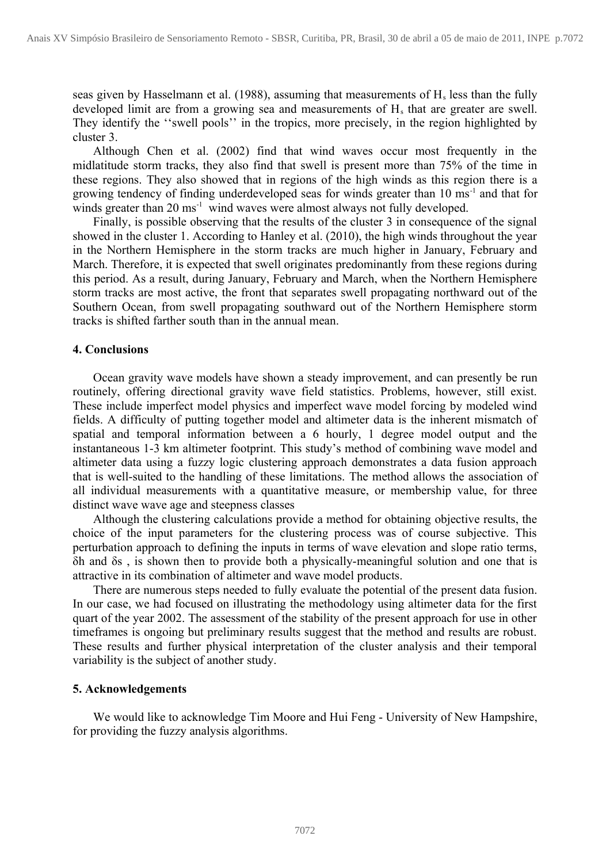seas given by Hasselmann et al. (1988), assuming that measurements of  $H_s$  less than the fully developed limit are from a growing sea and measurements of  $H_s$  that are greater are swell. They identify the "swell pools" in the tropics, more precisely, in the region highlighted by cluster 3.

Although Chen et al. (2002) find that wind waves occur most frequently in the midlatitude storm tracks, they also find that swell is present more than 75% of the time in these regions. They also showed that in regions of the high winds as this region there is a growing tendency of finding underdeveloped seas for winds greater than 10 ms<sup>-1</sup> and that for winds greater than  $20 \text{ ms}^{-1}$  wind waves were almost always not fully developed.

Finally, is possible observing that the results of the cluster 3 in consequence of the signal showed in the cluster 1. According to Hanley et al. (2010), the high winds throughout the year in the Northern Hemisphere in the storm tracks are much higher in January, February and March. Therefore, it is expected that swell originates predominantly from these regions during this period. As a result, during January, February and March, when the Northern Hemisphere storm tracks are most active, the front that separates swell propagating northward out of the Southern Ocean, from swell propagating southward out of the Northern Hemisphere storm tracks is shifted farther south than in the annual mean.

## **4. Conclusions**

Ocean gravity wave models have shown a steady improvement, and can presently be run routinely, offering directional gravity wave field statistics. Problems, however, still exist. These include imperfect model physics and imperfect wave model forcing by modeled wind fields. A difficulty of putting together model and altimeter data is the inherent mismatch of spatial and temporal information between a 6 hourly, 1 degree model output and the instantaneous 1-3 km altimeter footprint. This study's method of combining wave model and altimeter data using a fuzzy logic clustering approach demonstrates a data fusion approach that is well-suited to the handling of these limitations. The method allows the association of all individual measurements with a quantitative measure, or membership value, for three distinct wave wave age and steepness classes

Although the clustering calculations provide a method for obtaining objective results, the choice of the input parameters for the clustering process was of course subjective. This perturbation approach to defining the inputs in terms of wave elevation and slope ratio terms, δh and δs , is shown then to provide both a physically-meaningful solution and one that is attractive in its combination of altimeter and wave model products.

There are numerous steps needed to fully evaluate the potential of the present data fusion. In our case, we had focused on illustrating the methodology using altimeter data for the first quart of the year 2002. The assessment of the stability of the present approach for use in other timeframes is ongoing but preliminary results suggest that the method and results are robust. These results and further physical interpretation of the cluster analysis and their temporal variability is the subject of another study.

### **5. Acknowledgements**

We would like to acknowledge Tim Moore and Hui Feng - University of New Hampshire, for providing the fuzzy analysis algorithms.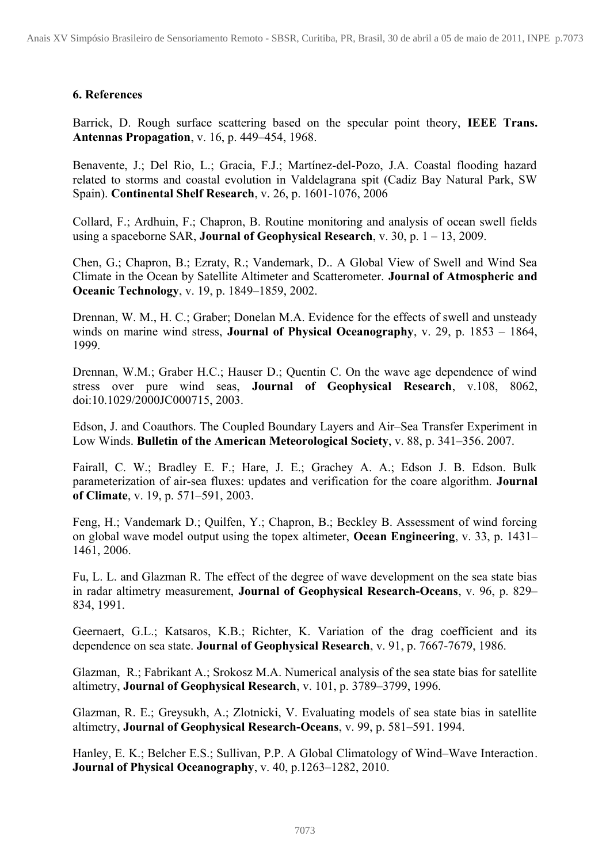# **6. References**

Barrick, D. Rough surface scattering based on the specular point theory, **IEEE Trans. Antennas Propagation**, v. 16, p. 449–454, 1968.

Benavente, J.; Del Rio, L.; Gracia, F.J.; Martínez-del-Pozo, J.A. Coastal flooding hazard related to storms and coastal evolution in Valdelagrana spit (Cadiz Bay Natural Park, SW Spain). **Continental Shelf Research**, v. 26, p. 1601-1076, 2006

Collard, F.; Ardhuin, F.; Chapron, B. Routine monitoring and analysis of ocean swell fields using a spaceborne SAR, **Journal of Geophysical Research**, v. 30, p. 1 – 13, 2009.

Chen, G.; Chapron, B.; Ezraty, R.; Vandemark, D.. A Global View of Swell and Wind Sea Climate in the Ocean by Satellite Altimeter and Scatterometer. **Journal of Atmospheric and Oceanic Technology**, v. 19, p. 1849–1859, 2002.

Drennan, W. M., H. C.; Graber; Donelan M.A. Evidence for the effects of swell and unsteady winds on marine wind stress, **Journal of Physical Oceanography**, v. 29, p. 1853 – 1864, 1999.

Drennan, W.M.; Graber H.C.; Hauser D.; Quentin C. On the wave age dependence of wind stress over pure wind seas, **Journal of Geophysical Research**, v.108, 8062, doi:10.1029/2000JC000715, 2003.

Edson, J. and Coauthors. The Coupled Boundary Layers and Air–Sea Transfer Experiment in Low Winds. **Bulletin of the American Meteorological Society**, v. 88, p. 341–356. 2007.

Fairall, C. W.; Bradley E. F.; Hare, J. E.; Grachey A. A.; Edson J. B. Edson. Bulk parameterization of air-sea fluxes: updates and verification for the coare algorithm. **Journal of Climate**, v. 19, p. 571–591, 2003.

Feng, H.; Vandemark D.; Quilfen, Y.; Chapron, B.; Beckley B. Assessment of wind forcing on global wave model output using the topex altimeter, **Ocean Engineering**, v. 33, p. 1431– 1461, 2006.

Fu, L. L. and Glazman R. The effect of the degree of wave development on the sea state bias in radar altimetry measurement, **Journal of Geophysical Research-Oceans**, v. 96, p. 829– 834, 1991.

Geernaert, G.L.; Katsaros, K.B.; Richter, K. Variation of the drag coefficient and its dependence on sea state. **Journal of Geophysical Research**, v. 91, p. 7667-7679, 1986.

Glazman, R.; Fabrikant A.; Srokosz M.A. Numerical analysis of the sea state bias for satellite altimetry, **Journal of Geophysical Research**, v. 101, p. 3789–3799, 1996.

Glazman, R. E.; Greysukh, A.; Zlotnicki, V. Evaluating models of sea state bias in satellite altimetry, **Journal of Geophysical Research-Oceans**, v. 99, p. 581–591. 1994.

Hanley, E. K.; Belcher E.S.; Sullivan, P.P. A Global Climatology of Wind–Wave Interaction. **Journal of Physical Oceanography**, v. 40, p.1263–1282, 2010.